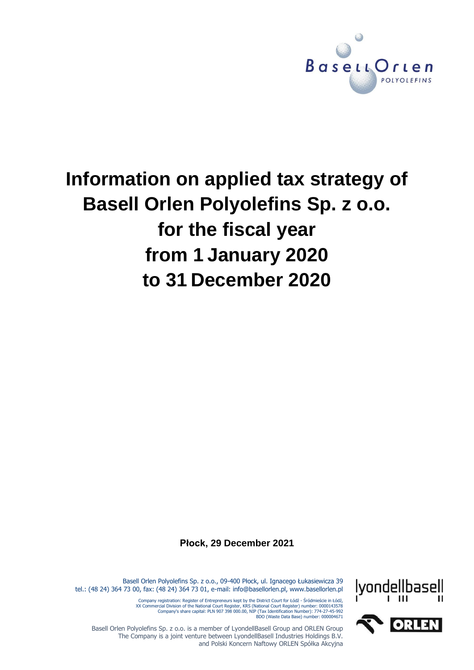

# **Information on applied tax strategy of Basell Orlen Polyolefins Sp. z o.o. for the fiscal year from 1 January 2020 to 31 December 2020**

**Płock, 29 December 2021**



Basell Orlen Polyolefins Sp. z o.o., 09-400 Płock, ul. Ignacego Łukasiewicza 39 tel.: (48 24) 364 73 00, fax: (48 24) 364 73 01, e-mail: info@basellorlen.pl, www.basellorlen.pl

Company registration: Register of Entrepreneurs kept by the District Court for Łódź - Sródmieście in Łódź,<br>XX Commercial Division of the National Court Register, KRS (National Court Register) number: 0000143578<br>Company's s

Basell Orlen Polyolefins Sp. z o.o. is a member of LyondellBasell Group and ORLEN Group The Company is a joint venture between LyondellBasell Industries Holdings B.V. and Polski Koncern Naftowy ORLEN Spółka Akcyjna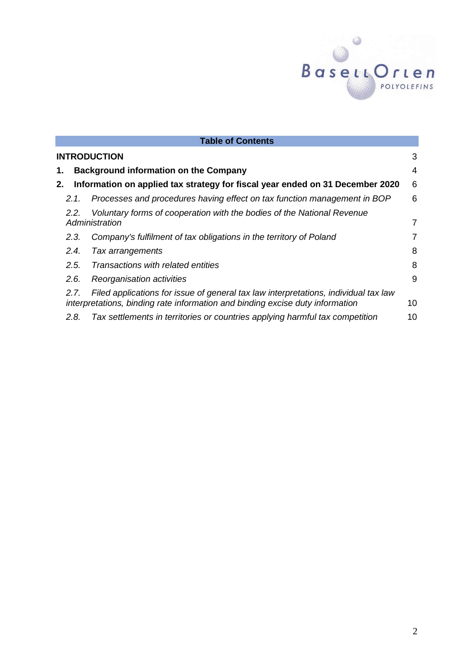

| <b>Table of Contents</b>                                                                              |                                                                                                                                                                      |    |  |  |
|-------------------------------------------------------------------------------------------------------|----------------------------------------------------------------------------------------------------------------------------------------------------------------------|----|--|--|
| <b>INTRODUCTION</b><br>3                                                                              |                                                                                                                                                                      |    |  |  |
| 1.                                                                                                    | <b>Background information on the Company</b>                                                                                                                         |    |  |  |
| 6<br>Information on applied tax strategy for fiscal year ended on 31 December 2020<br>2.              |                                                                                                                                                                      |    |  |  |
| 2.1.                                                                                                  | Processes and procedures having effect on tax function management in BOP                                                                                             | 6  |  |  |
| Voluntary forms of cooperation with the bodies of the National Revenue<br>2.2.<br>Administration<br>7 |                                                                                                                                                                      |    |  |  |
| 2.3.                                                                                                  | Company's fulfilment of tax obligations in the territory of Poland                                                                                                   | 7  |  |  |
| 2.4.                                                                                                  | Tax arrangements                                                                                                                                                     | 8  |  |  |
| 2.5.                                                                                                  | Transactions with related entities                                                                                                                                   | 8  |  |  |
| 2.6.                                                                                                  | Reorganisation activities                                                                                                                                            | 9  |  |  |
| 2.7.                                                                                                  | Filed applications for issue of general tax law interpretations, individual tax law<br>interpretations, binding rate information and binding excise duty information | 10 |  |  |
| 2.8.                                                                                                  | Tax settlements in territories or countries applying harmful tax competition                                                                                         | 10 |  |  |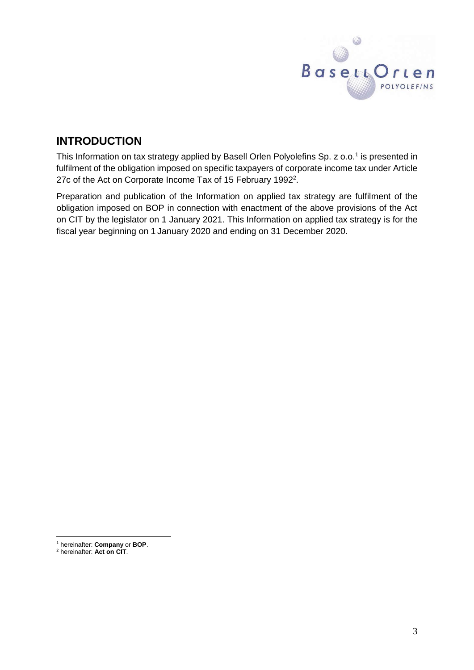

# <span id="page-2-0"></span>**INTRODUCTION**

This Information on tax strategy applied by Basell Orlen Polyolefins Sp. z o.o.<sup>1</sup> is presented in fulfilment of the obligation imposed on specific taxpayers of corporate income tax under Article 27c of the Act on Corporate Income Tax of 15 February 1992<sup>2</sup>.

Preparation and publication of the Information on applied tax strategy are fulfilment of the obligation imposed on BOP in connection with enactment of the above provisions of the Act on CIT by the legislator on 1 January 2021. This Information on applied tax strategy is for the fiscal year beginning on 1 January 2020 and ending on 31 December 2020.

 $\overline{a}$ 

<sup>1</sup> hereinafter: **Company** or **BOP**.

<sup>2</sup> hereinafter: **Act on CIT**.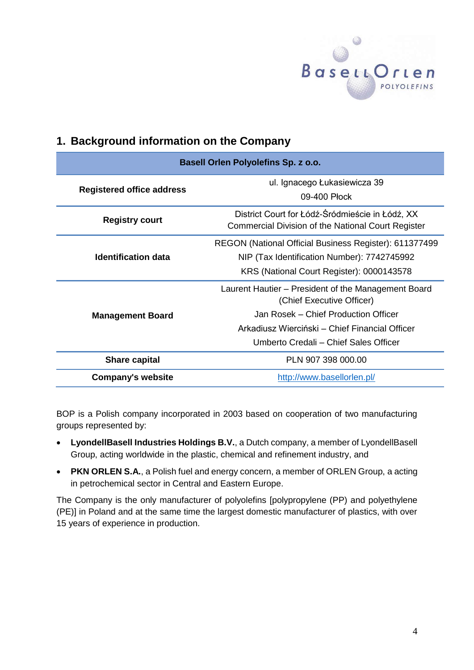

# <span id="page-3-0"></span>**1. Background information on the Company**

| Basell Orlen Polyolefins Sp. z o.o. |                                                                                                                                                    |  |  |  |
|-------------------------------------|----------------------------------------------------------------------------------------------------------------------------------------------------|--|--|--|
| <b>Registered office address</b>    | ul. Ignacego Łukasiewicza 39<br>09-400 Plock                                                                                                       |  |  |  |
| <b>Registry court</b>               | District Court for Łódź-Śródmieście in Łódź, XX<br><b>Commercial Division of the National Court Register</b>                                       |  |  |  |
| <b>Identification data</b>          | REGON (National Official Business Register): 611377499<br>NIP (Tax Identification Number): 7742745992<br>KRS (National Court Register): 0000143578 |  |  |  |
|                                     | Laurent Hautier – President of the Management Board<br>(Chief Executive Officer)                                                                   |  |  |  |
| <b>Management Board</b>             | Jan Rosek – Chief Production Officer                                                                                                               |  |  |  |
|                                     | Arkadiusz Wierciński – Chief Financial Officer                                                                                                     |  |  |  |
|                                     | Umberto Credali - Chief Sales Officer                                                                                                              |  |  |  |
| <b>Share capital</b>                | PLN 907 398 000.00                                                                                                                                 |  |  |  |
| <b>Company's website</b>            | http://www.basellorlen.pl/                                                                                                                         |  |  |  |

BOP is a Polish company incorporated in 2003 based on cooperation of two manufacturing groups represented by:

- **LyondellBasell Industries Holdings B.V.**, a Dutch company, a member of LyondellBasell Group, acting worldwide in the plastic, chemical and refinement industry, and
- **PKN ORLEN S.A.**, a Polish fuel and energy concern, a member of ORLEN Group, a acting in petrochemical sector in Central and Eastern Europe.

The Company is the only manufacturer of polyolefins [polypropylene (PP) and polyethylene (PE)] in Poland and at the same time the largest domestic manufacturer of plastics, with over 15 years of experience in production.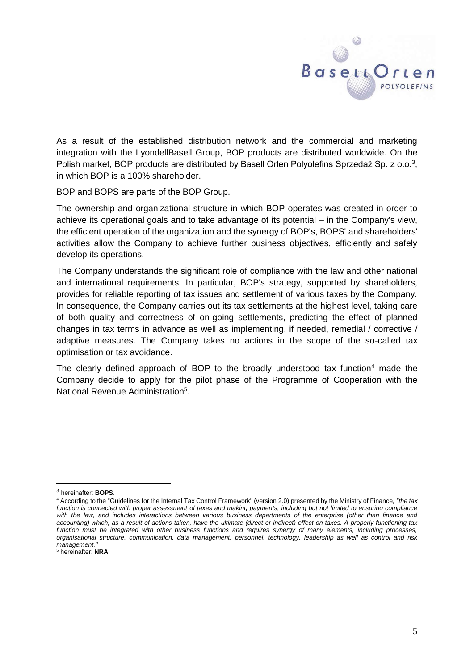

As a result of the established distribution network and the commercial and marketing integration with the LyondellBasell Group, BOP products are distributed worldwide. On the Polish market, BOP products are distributed by Basell Orlen Polyolefins Sprzedaż Sp. z o.o.<sup>3</sup>, in which BOP is a 100% shareholder.

BOP and BOPS are parts of the BOP Group.

The ownership and organizational structure in which BOP operates was created in order to achieve its operational goals and to take advantage of its potential – in the Company's view, the efficient operation of the organization and the synergy of BOP's, BOPS' and shareholders' activities allow the Company to achieve further business objectives, efficiently and safely develop its operations.

The Company understands the significant role of compliance with the law and other national and international requirements. In particular, BOP's strategy, supported by shareholders, provides for reliable reporting of tax issues and settlement of various taxes by the Company. In consequence, the Company carries out its tax settlements at the highest level, taking care of both quality and correctness of on-going settlements, predicting the effect of planned changes in tax terms in advance as well as implementing, if needed, remedial / corrective / adaptive measures. The Company takes no actions in the scope of the so-called tax optimisation or tax avoidance.

<span id="page-4-0"></span>The clearly defined approach of BOP to the broadly understood tax function<sup>4</sup> made the Company decide to apply for the pilot phase of the Programme of Cooperation with the National Revenue Administration<sup>5</sup>.

 $\overline{a}$ 

<sup>3</sup> hereinafter: **BOPS**.

<sup>4</sup> According to the "Guidelines for the Internal Tax Control Framework" (version 2.0) presented by the Ministry of Finance, *"the tax function is connected with proper assessment of taxes and making payments, including but not limited to ensuring compliance with the law, and includes interactions between various business departments of the enterprise (other than finance and accounting) which, as a result of actions taken, have the ultimate (direct or indirect) effect on taxes. A properly functioning tax function must be integrated with other business functions and requires synergy of many elements, including processes, organisational structure, communication, data management, personnel, technology, leadership as well as control and risk management."*

<sup>5</sup> hereinafter: **NRA**.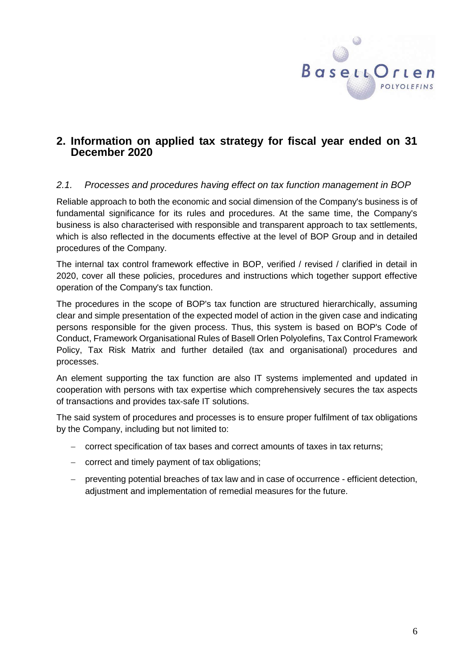

# **2. Information on applied tax strategy for fiscal year ended on 31 December 2020**

# <span id="page-5-0"></span>*2.1. Processes and procedures having effect on tax function management in BOP*

Reliable approach to both the economic and social dimension of the Company's business is of fundamental significance for its rules and procedures. At the same time, the Company's business is also characterised with responsible and transparent approach to tax settlements, which is also reflected in the documents effective at the level of BOP Group and in detailed procedures of the Company.

The internal tax control framework effective in BOP, verified / revised / clarified in detail in 2020, cover all these policies, procedures and instructions which together support effective operation of the Company's tax function.

The procedures in the scope of BOP's tax function are structured hierarchically, assuming clear and simple presentation of the expected model of action in the given case and indicating persons responsible for the given process. Thus, this system is based on BOP's Code of Conduct, Framework Organisational Rules of Basell Orlen Polyolefins, Tax Control Framework Policy, Tax Risk Matrix and further detailed (tax and organisational) procedures and processes.

An element supporting the tax function are also IT systems implemented and updated in cooperation with persons with tax expertise which comprehensively secures the tax aspects of transactions and provides tax-safe IT solutions.

The said system of procedures and processes is to ensure proper fulfilment of tax obligations by the Company, including but not limited to:

- correct specification of tax bases and correct amounts of taxes in tax returns;
- correct and timely payment of tax obligations;
- preventing potential breaches of tax law and in case of occurrence efficient detection, adjustment and implementation of remedial measures for the future.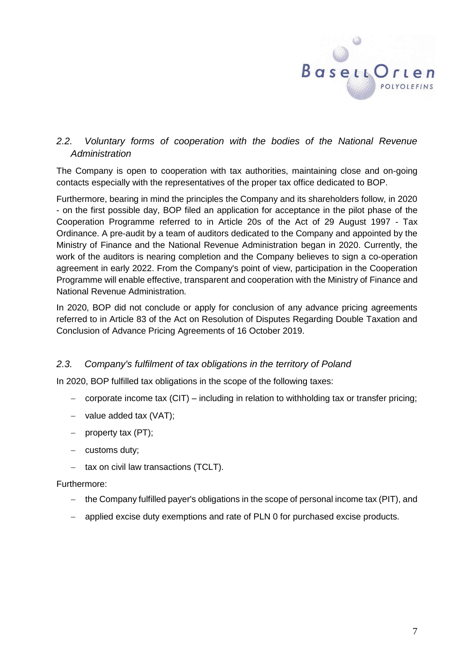

# <span id="page-6-0"></span>*2.2. Voluntary forms of cooperation with the bodies of the National Revenue Administration*

The Company is open to cooperation with tax authorities, maintaining close and on-going contacts especially with the representatives of the proper tax office dedicated to BOP.

Furthermore, bearing in mind the principles the Company and its shareholders follow, in 2020 - on the first possible day, BOP filed an application for acceptance in the pilot phase of the Cooperation Programme referred to in Article 20s of the Act of 29 August 1997 - Tax Ordinance. A pre-audit by a team of auditors dedicated to the Company and appointed by the Ministry of Finance and the National Revenue Administration began in 2020. Currently, the work of the auditors is nearing completion and the Company believes to sign a co-operation agreement in early 2022. From the Company's point of view, participation in the Cooperation Programme will enable effective, transparent and cooperation with the Ministry of Finance and National Revenue Administration.

In 2020, BOP did not conclude or apply for conclusion of any advance pricing agreements referred to in Article 83 of the Act on Resolution of Disputes Regarding Double Taxation and Conclusion of Advance Pricing Agreements of 16 October 2019.

# <span id="page-6-1"></span>*2.3. Company's fulfilment of tax obligations in the territory of Poland*

In 2020, BOP fulfilled tax obligations in the scope of the following taxes:

- corporate income tax (CIT) including in relation to withholding tax or transfer pricing;
- $-$  value added tax (VAT);
- $-$  property tax (PT):
- $-$  customs duty:
- $-$  tax on civil law transactions (TCLT).

#### Furthermore:

- the Company fulfilled payer's obligations in the scope of personal income tax (PIT), and
- applied excise duty exemptions and rate of PLN 0 for purchased excise products.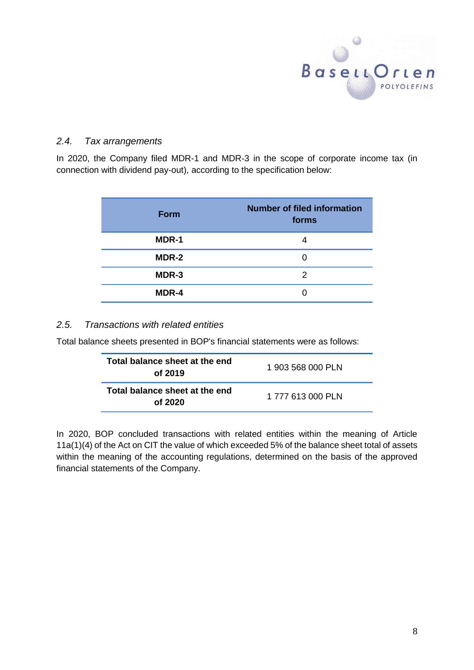

## <span id="page-7-0"></span>*2.4. Tax arrangements*

In 2020, the Company filed MDR-1 and MDR-3 in the scope of corporate income tax (in connection with dividend pay-out), according to the specification below:

| <b>Form</b> | <b>Number of filed information</b><br>forms |  |
|-------------|---------------------------------------------|--|
| MDR-1       | 4                                           |  |
| MDR-2       | 0                                           |  |
| MDR-3       | 2                                           |  |
| MDR-4       |                                             |  |

### <span id="page-7-1"></span>*2.5. Transactions with related entities*

Total balance sheets presented in BOP's financial statements were as follows:

| Total balance sheet at the end<br>of 2019 | 1 903 568 000 PLN |
|-------------------------------------------|-------------------|
| Total balance sheet at the end<br>of 2020 | 1 777 613 000 PLN |

In 2020, BOP concluded transactions with related entities within the meaning of Article 11a(1)(4) of the Act on CIT the value of which exceeded 5% of the balance sheet total of assets within the meaning of the accounting regulations, determined on the basis of the approved financial statements of the Company.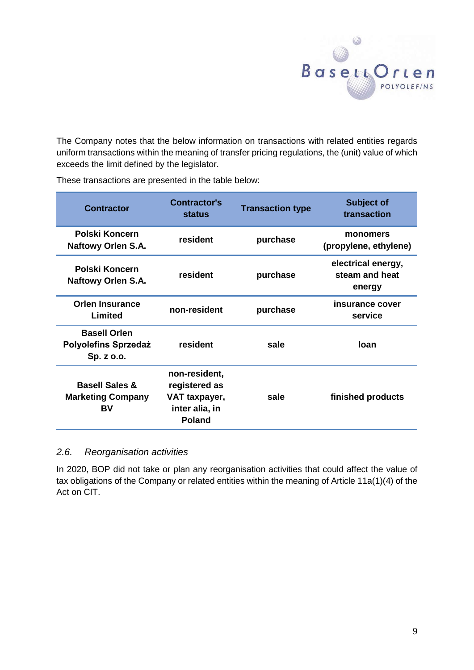

The Company notes that the below information on transactions with related entities regards uniform transactions within the meaning of transfer pricing regulations, the (unit) value of which exceeds the limit defined by the legislator.

<span id="page-8-0"></span>

| <b>Contractor</b>                                                | <b>Contractor's</b><br><b>status</b>                                               | <b>Transaction type</b> | Subject of<br>transaction                      |
|------------------------------------------------------------------|------------------------------------------------------------------------------------|-------------------------|------------------------------------------------|
| <b>Polski Koncern</b><br><b>Naftowy Orlen S.A.</b>               | resident                                                                           | purchase                | monomers<br>(propylene, ethylene)              |
| Polski Koncern<br><b>Naftowy Orlen S.A.</b>                      | resident                                                                           | purchase                | electrical energy,<br>steam and heat<br>energy |
| <b>Orlen Insurance</b><br>Limited                                | non-resident                                                                       | purchase                | insurance cover<br>service                     |
| <b>Basell Orlen</b><br><b>Polyolefins Sprzedaż</b><br>Sp. z o.o. | resident                                                                           | sale                    | loan                                           |
| <b>Basell Sales &amp;</b><br><b>Marketing Company</b><br>BV      | non-resident,<br>registered as<br>VAT taxpayer,<br>inter alia, in<br><b>Poland</b> | sale                    | finished products                              |

These transactions are presented in the table below:

# *2.6. Reorganisation activities*

In 2020, BOP did not take or plan any reorganisation activities that could affect the value of tax obligations of the Company or related entities within the meaning of Article 11a(1)(4) of the Act on CIT.